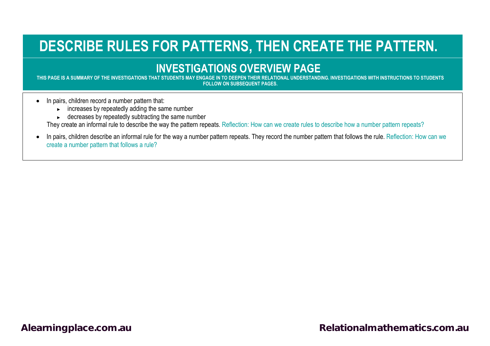## **DESCRIBE RULES FOR PATTERNS, THEN CREATE THE PATTERN.**

## **INVESTIGATIONS OVERVIEW PAGE**<br>THIS PAGE IS A SUMMARY OF THE INVESTIGATIONS THAT STUDENTS MAY ENGAGE IN TO DEEPEN THEIR RELATIONAL UNDERSTANDI

**THIS PAGE IS A SUMMARY OF THE INVESTIGATIONS THAT STUDENTS MAY ENGAGE IN TO DEEPEN THEIR RELATIONAL UNDERSTANDING. INVESTIGATIONS WITH INSTRUCTIONS TO STUDENTS FOLLOW ON SUBSEQUENT PAGES.**

- In pairs, children record a number pattern that:
	- ► increases by repeatedly adding the same number
	- ► decreases by repeatedly subtracting the same number

They create an informal rule to describe the way the pattern repeats. Reflection: How can we create rules to describe how a number pattern repeats?

• In pairs, children describe an informal rule for the way a number pattern repeats. They record the number pattern that follows the rule. Reflection: How can we create a number pattern that follows a rule?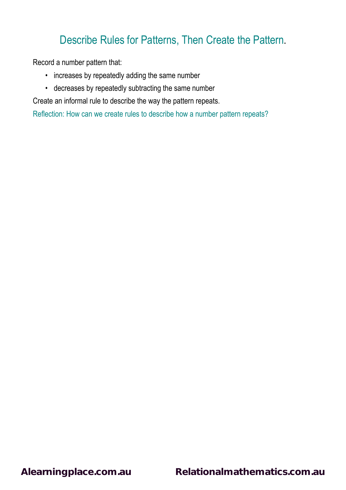## Describe Rules for Patterns, Then Create the Pattern**.**

Record a number pattern that:

- increases by repeatedly adding the same number
- decreases by repeatedly subtracting the same number

Create an informal rule to describe the way the pattern repeats.

Reflection: How can we create rules to describe how a number pattern repeats?